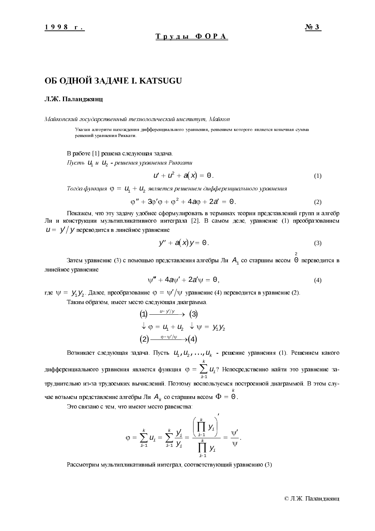# ОБ ОДНОЙ ЗАДАЧЕ I. KATSUGU

#### Л.Ж. Паланджянц

Майкопский государственный технологический институт, Майкоп

Указан алгоритм нахождения дифференциального уравнения, решением которого является конечная сумма решений уравнения Риккати.

В работе [1] решена следующая задача.

Пусть и и и - решения уравнения Риккати

$$
u' + u^2 + a(x) = 0.
$$
 (1)

Тогда функция  $\varphi = u_1 + u_2$  является решением дифференциального уравнения

$$
\varphi'' + 3\varphi'\varphi + \varphi^2 + 4a\varphi + 2a' = 0.
$$
 (2)

Покажем, что эту задачу удобнее сформулировать в терминах теории представлений групп и алгебр Ли и конструкции мультипликативного интеграла [2]. В самом деле, уравнение (1) преобразованием  $u = y'/y$  переводится в линейное уравнение

$$
y'' + a(x)y = 0.
$$
 (3)

Затем уравнение (3) с помощью представления алгебры Ли А, со старшим весом 0 переводится в линейное уравнение

$$
\psi''' + 4a\psi' + 2a'\psi = 0, \qquad (4)
$$

где  $\psi = Y_1 Y_2$ . Далее, преобразование  $\varphi = \psi'/\psi$  уравнение (4) переводится в уравнение (2).

Таким образом, имеет место следующая диаграмма.

$$
(1) \xrightarrow{u=y/y} (3)
$$
  
\n
$$
\downarrow \varphi = u_1 + u_2 \quad \downarrow \psi = y_1 y_2
$$
  
\n
$$
(2) \xrightarrow{\varphi = \psi'/\psi} (4)
$$

Возникает следующая задача. Пусть  $u_1, u_2, \ldots, u_k$  - решение уравнения (1). Решением какого дифференциального уравнения является функция  $\varphi = \sum_{i=1}^{k} u_i$ ? Непосредственно найти это уравнение затруднительно из-за трудоемких вычислений. Поэтому воспользуемся построенной диаграммой. В этом случае возьмем представление алгебры Ли  $A_k$  со старшим весом  $\Phi = \hat{0}$ .

 $\mathbf{r}$ 

Это связано с тем, что имеют место равенства:

$$
\varphi = \sum_{i=1}^k u_i = \sum_{i=1}^k \frac{Y_i'}{Y_i} = \frac{\left(\prod_{i=1}^k Y_i\right)}{\prod_{i=1}^k Y_i} = \frac{\psi'}{\psi}.
$$

Рассмотрим мультипликативный интеграл, соответствующий уравнению (3)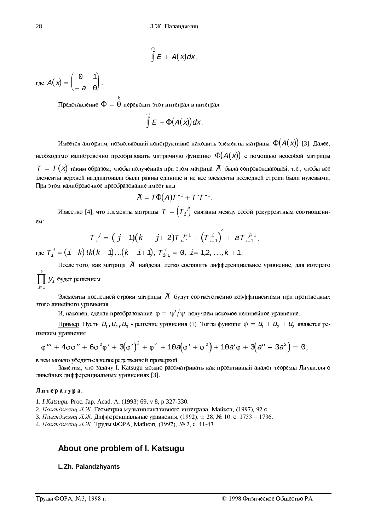$$
\int E + A(x) dx,
$$

rge  $A(x) = \begin{pmatrix} 0 & 1 \\ -a & 0 \end{pmatrix}$ .

Представление  $\Phi = 0$  переводит этот интеграл в интеграл

$$
\int E + \Phi(A(x))dx.
$$

Имеется алгоритм, позволяющий конструктивно находить элементы матрицы  $\Phi(A(x))$  [3]. Далее, необходимо калибровочно преобразовать матричную функцию  $\Phi(A(x))$  с помощью неособой матрицы  $T = T(x)$  таким образом, чтобы полученная при этом матрица  $\tilde{A}$  была сопровождающей, т.е., чтобы все элементы верхней наддиагонали были равны единице и не все элементы последней строки были нулевыми. При этом калибровочное преобразование имеет вид:

$$
X = T\Phi(A)T^{-1} + T' T^{-1}.
$$

Известно [4], что элементы матрицы  $T = (T_i^j)$  связаны между собой рекуррентным соотношени-

$$
_{\rm \mathsf{e} \mathsf{m}}
$$

$$
T_{i}^{j} = (j-1)(k-j+2)T_{i-1}^{j+1} + (T_{i-1}^{i}) + aT_{i-1}^{j+1},
$$

rge  $T_i^i = (i-k)$ ! $k(k-1)...(k-i+1),$   $T_{i+1}^i = 0, i = 1,2,...,k+1$ .

После того, как матрица А найдена, легко составить дифференциальное уравнение, для которого  $\prod_{i=1}^{n} Y_i$  будет решением.

Элементы последней строки матрицы  $\tilde{A}$  будут соответственно коэффициентами при производных этого линейного уравнения.

И, наконец, сделав преобразование  $\varphi = \psi'/\psi$  получаем искомое нелинейное уравнение.

Пример. Пусть  $u_1, u_2, u_3$  - решение уравнения (1). Тогда функция  $\varphi = u_1 + u_2 + u_3$  является решением уравнения

$$
\varphi''' + 4\varphi\varphi'' + 6\varphi^2\varphi' + 3(\varphi')^2 + \varphi^4 + 10a(\varphi' + \varphi^2) + 10a'\varphi + 3(a'' - 3a^2) = 0,
$$

в чем можно убедиться непосредственной проверкой.

Заметим, что задачу I. Katsugu можно рассматривать как проективный аналог теоремы Лиувилля о линейных дифференциальных уравнениях [3].

### Литература.

1. *I. Katsugu.* Proc. Jap. Acad. A. (1993) 69, v 8, p 327-330.

2. Паланджянц Л.Ж. Геометрия мультипликативного интеграла. Майкоп, (1997), 92 с.

3. Паланджяни Л.Ж. Дифференциальные уравнения, (1992), т. 28, № 10, с. 1733 – 1736.

4. Паланджянц Л.Ж. Труды ФОРА, Майкоп, (1997), № 2, с. 41-43.

## About one problem of I. Katsugu

#### L.Zh. Palandzhyants